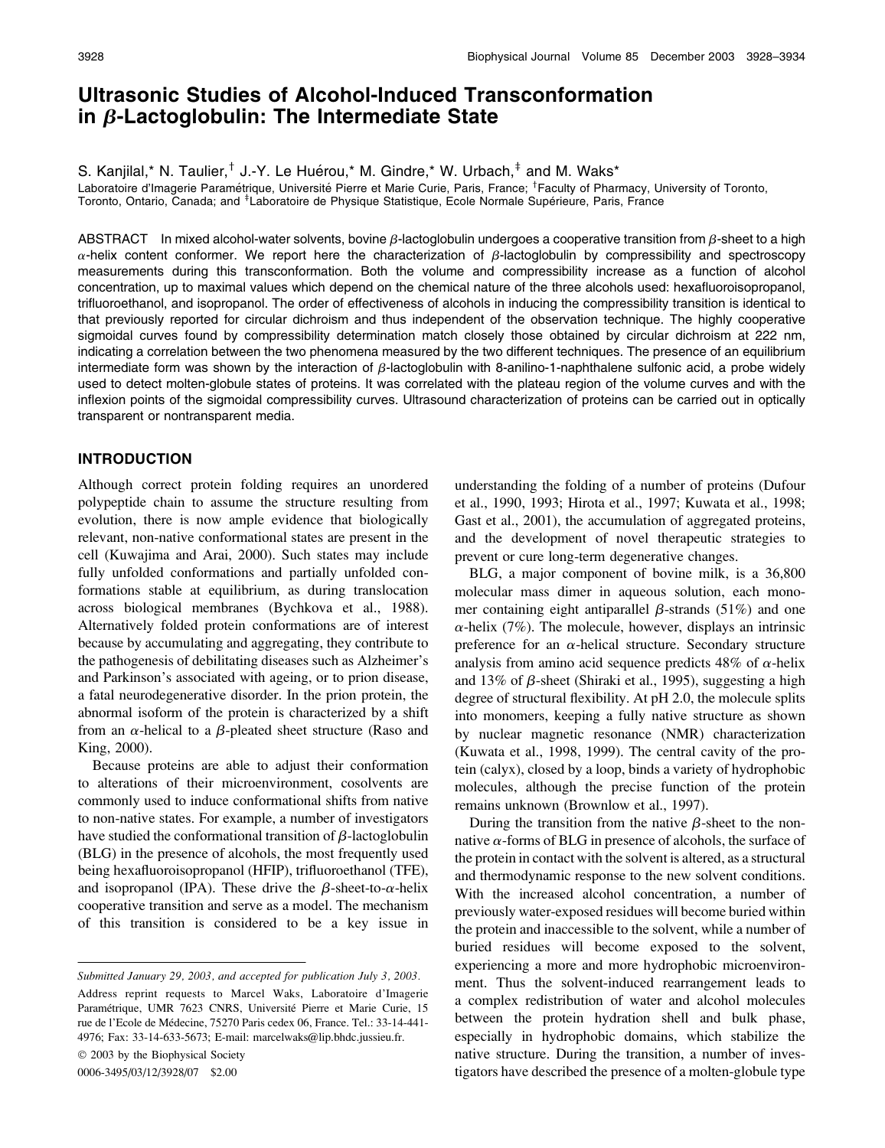# Ultrasonic Studies of Alcohol-Induced Transconformation in  $\beta$ -Lactoglobulin: The Intermediate State

S. Kanjilal,\* N. Taulier, $<sup>†</sup>$  J.-Y. Le Huérou,\* M. Gindre,\* W. Urbach, $<sup>‡</sup>$  and M. Waks\*</sup></sup>

Laboratoire d'Imagerie Paramétrique, Université Pierre et Marie Curie, Paris, France; <sup>†</sup>Faculty of Pharmacy, University of Toronto, Toronto, Ontario, Canada; and <sup>‡</sup>Laboratoire de Physique Statistique, Ecole Normale Supérieure, Paris, France

ABSTRACT In mixed alcohol-water solvents, bovine  $\beta$ -lactoglobulin undergoes a cooperative transition from  $\beta$ -sheet to a high  $\alpha$ -helix content conformer. We report here the characterization of  $\beta$ -lactoglobulin by compressibility and spectroscopy measurements during this transconformation. Both the volume and compressibility increase as a function of alcohol concentration, up to maximal values which depend on the chemical nature of the three alcohols used: hexafluoroisopropanol, trifluoroethanol, and isopropanol. The order of effectiveness of alcohols in inducing the compressibility transition is identical to that previously reported for circular dichroism and thus independent of the observation technique. The highly cooperative sigmoidal curves found by compressibility determination match closely those obtained by circular dichroism at 222 nm, indicating a correlation between the two phenomena measured by the two different techniques. The presence of an equilibrium intermediate form was shown by the interaction of  $\beta$ -lactoglobulin with 8-anilino-1-naphthalene sulfonic acid, a probe widely used to detect molten-globule states of proteins. It was correlated with the plateau region of the volume curves and with the inflexion points of the sigmoidal compressibility curves. Ultrasound characterization of proteins can be carried out in optically transparent or nontransparent media.

## INTRODUCTION

Although correct protein folding requires an unordered polypeptide chain to assume the structure resulting from evolution, there is now ample evidence that biologically relevant, non-native conformational states are present in the cell (Kuwajima and Arai, 2000). Such states may include fully unfolded conformations and partially unfolded conformations stable at equilibrium, as during translocation across biological membranes (Bychkova et al., 1988). Alternatively folded protein conformations are of interest because by accumulating and aggregating, they contribute to the pathogenesis of debilitating diseases such as Alzheimer's and Parkinson's associated with ageing, or to prion disease, a fatal neurodegenerative disorder. In the prion protein, the abnormal isoform of the protein is characterized by a shift from an  $\alpha$ -helical to a  $\beta$ -pleated sheet structure (Raso and King, 2000).

Because proteins are able to adjust their conformation to alterations of their microenvironment, cosolvents are commonly used to induce conformational shifts from native to non-native states. For example, a number of investigators have studied the conformational transition of  $\beta$ -lactoglobulin (BLG) in the presence of alcohols, the most frequently used being hexafluoroisopropanol (HFIP), trifluoroethanol (TFE), and isopropanol (IPA). These drive the  $\beta$ -sheet-to- $\alpha$ -helix cooperative transition and serve as a model. The mechanism of this transition is considered to be a key issue in

Submitted January 29, 2003, and accepted for publication July 3, 2003.

Address reprint requests to Marcel Waks, Laboratoire d'Imagerie Paramétrique, UMR 7623 CNRS, Université Pierre et Marie Curie, 15 rue de l'Ecole de Médecine, 75270 Paris cedex 06, France. Tel.: 33-14-441-4976; Fax: 33-14-633-5673; E-mail: marcelwaks@lip.bhdc.jussieu.fr.

 $© 2003$  by the Biophysical Society

0006-3495/03/12/3928/07 \$2.00

understanding the folding of a number of proteins (Dufour et al., 1990, 1993; Hirota et al., 1997; Kuwata et al., 1998; Gast et al., 2001), the accumulation of aggregated proteins, and the development of novel therapeutic strategies to prevent or cure long-term degenerative changes.

BLG, a major component of bovine milk, is a 36,800 molecular mass dimer in aqueous solution, each monomer containing eight antiparallel  $\beta$ -strands (51%) and one  $\alpha$ -helix (7%). The molecule, however, displays an intrinsic preference for an  $\alpha$ -helical structure. Secondary structure analysis from amino acid sequence predicts 48% of  $\alpha$ -helix and 13% of  $\beta$ -sheet (Shiraki et al., 1995), suggesting a high degree of structural flexibility. At pH 2.0, the molecule splits into monomers, keeping a fully native structure as shown by nuclear magnetic resonance (NMR) characterization (Kuwata et al., 1998, 1999). The central cavity of the protein (calyx), closed by a loop, binds a variety of hydrophobic molecules, although the precise function of the protein remains unknown (Brownlow et al., 1997).

During the transition from the native  $\beta$ -sheet to the nonnative  $\alpha$ -forms of BLG in presence of alcohols, the surface of the protein in contact with the solvent is altered, as a structural and thermodynamic response to the new solvent conditions. With the increased alcohol concentration, a number of previously water-exposed residues will become buried within the protein and inaccessible to the solvent, while a number of buried residues will become exposed to the solvent, experiencing a more and more hydrophobic microenvironment. Thus the solvent-induced rearrangement leads to a complex redistribution of water and alcohol molecules between the protein hydration shell and bulk phase, especially in hydrophobic domains, which stabilize the native structure. During the transition, a number of investigators have described the presence of a molten-globule type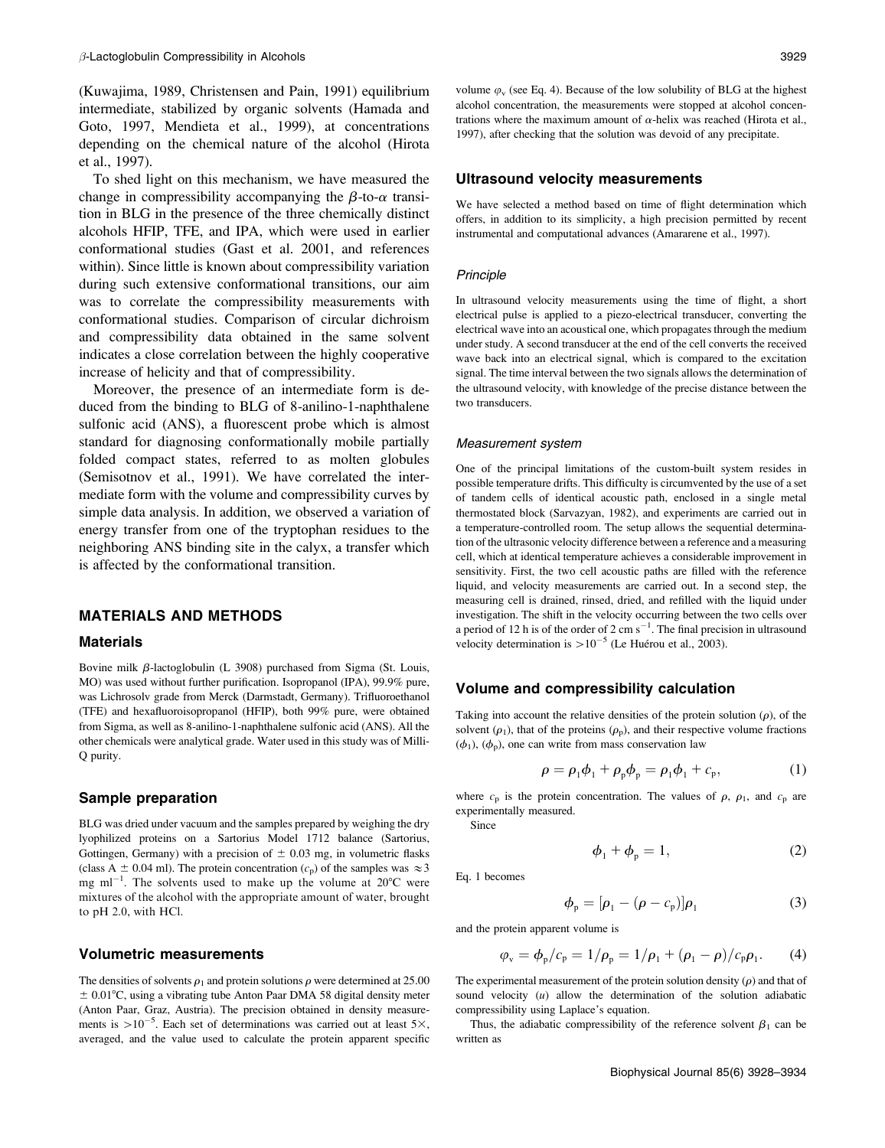(Kuwajima, 1989, Christensen and Pain, 1991) equilibrium intermediate, stabilized by organic solvents (Hamada and Goto, 1997, Mendieta et al., 1999), at concentrations depending on the chemical nature of the alcohol (Hirota et al., 1997).

To shed light on this mechanism, we have measured the change in compressibility accompanying the  $\beta$ -to- $\alpha$  transition in BLG in the presence of the three chemically distinct alcohols HFIP, TFE, and IPA, which were used in earlier conformational studies (Gast et al. 2001, and references within). Since little is known about compressibility variation during such extensive conformational transitions, our aim was to correlate the compressibility measurements with conformational studies. Comparison of circular dichroism and compressibility data obtained in the same solvent indicates a close correlation between the highly cooperative increase of helicity and that of compressibility.

Moreover, the presence of an intermediate form is deduced from the binding to BLG of 8-anilino-1-naphthalene sulfonic acid (ANS), a fluorescent probe which is almost standard for diagnosing conformationally mobile partially folded compact states, referred to as molten globules (Semisotnov et al., 1991). We have correlated the intermediate form with the volume and compressibility curves by simple data analysis. In addition, we observed a variation of energy transfer from one of the tryptophan residues to the neighboring ANS binding site in the calyx, a transfer which is affected by the conformational transition.

# MATERIALS AND METHODS

#### Materials

Bovine milk  $\beta$ -lactoglobulin (L 3908) purchased from Sigma (St. Louis, MO) was used without further purification. Isopropanol (IPA), 99.9% pure, was Lichrosolv grade from Merck (Darmstadt, Germany). Trifluoroethanol (TFE) and hexafluoroisopropanol (HFIP), both 99% pure, were obtained from Sigma, as well as 8-anilino-1-naphthalene sulfonic acid (ANS). All the other chemicals were analytical grade. Water used in this study was of Milli-Q purity.

#### Sample preparation

BLG was dried under vacuum and the samples prepared by weighing the dry lyophilized proteins on a Sartorius Model 1712 balance (Sartorius, Gottingen, Germany) with a precision of  $\pm$  0.03 mg, in volumetric flasks (class A  $\pm$  0.04 ml). The protein concentration ( $c_p$ ) of the samples was  $\approx$  3 mg ml<sup>-1</sup>. The solvents used to make up the volume at  $20^{\circ}$ C were mixtures of the alcohol with the appropriate amount of water, brought to pH 2.0, with HCl.

## Volumetric measurements

The densities of solvents  $\rho_1$  and protein solutions  $\rho$  were determined at 25.00  $\pm$  0.01°C, using a vibrating tube Anton Paar DMA 58 digital density meter (Anton Paar, Graz, Austria). The precision obtained in density measurements is  $>10^{-5}$ . Each set of determinations was carried out at least 5 $\times$ , averaged, and the value used to calculate the protein apparent specific

volume  $\varphi_{\rm v}$  (see Eq. 4). Because of the low solubility of BLG at the highest alcohol concentration, the measurements were stopped at alcohol concentrations where the maximum amount of  $\alpha$ -helix was reached (Hirota et al., 1997), after checking that the solution was devoid of any precipitate.

#### Ultrasound velocity measurements

We have selected a method based on time of flight determination which offers, in addition to its simplicity, a high precision permitted by recent instrumental and computational advances (Amararene et al., 1997).

#### Principle

In ultrasound velocity measurements using the time of flight, a short electrical pulse is applied to a piezo-electrical transducer, converting the electrical wave into an acoustical one, which propagates through the medium under study. A second transducer at the end of the cell converts the received wave back into an electrical signal, which is compared to the excitation signal. The time interval between the two signals allows the determination of the ultrasound velocity, with knowledge of the precise distance between the two transducers.

#### Measurement system

One of the principal limitations of the custom-built system resides in possible temperature drifts. This difficulty is circumvented by the use of a set of tandem cells of identical acoustic path, enclosed in a single metal thermostated block (Sarvazyan, 1982), and experiments are carried out in a temperature-controlled room. The setup allows the sequential determination of the ultrasonic velocity difference between a reference and a measuring cell, which at identical temperature achieves a considerable improvement in sensitivity. First, the two cell acoustic paths are filled with the reference liquid, and velocity measurements are carried out. In a second step, the measuring cell is drained, rinsed, dried, and refilled with the liquid under investigation. The shift in the velocity occurring between the two cells over a period of 12 h is of the order of 2 cm  $s^{-1}$ . The final precision in ultrasound velocity determination is  $>10^{-5}$  (Le Huérou et al., 2003).

#### Volume and compressibility calculation

Taking into account the relative densities of the protein solution  $(\rho)$ , of the solvent  $(\rho_1)$ , that of the proteins  $(\rho_p)$ , and their respective volume fractions  $(\phi_1)$ ,  $(\phi_p)$ , one can write from mass conservation law

$$
\rho = \rho_1 \phi_1 + \rho_p \phi_p = \rho_1 \phi_1 + c_p, \tag{1}
$$

where  $c_p$  is the protein concentration. The values of  $\rho$ ,  $\rho_1$ , and  $c_p$  are experimentally measured.

Since

$$
\phi_1 + \phi_p = 1,\tag{2}
$$

Eq. 1 becomes

$$
\phi_{\mathbf{p}} = [\rho_1 - (\rho - c_{\mathbf{p}})]\rho_1 \tag{3}
$$

and the protein apparent volume is

$$
\varphi_{\rm v} = \phi_{\rm p}/c_{\rm p} = 1/\rho_{\rm p} = 1/\rho_{\rm 1} + (\rho_{\rm 1} - \rho)/c_{\rm p}\rho_{\rm 1}.
$$
 (4)

The experimental measurement of the protein solution density  $(\rho)$  and that of sound velocity  $(u)$  allow the determination of the solution adiabatic compressibility using Laplace's equation.

Thus, the adiabatic compressibility of the reference solvent  $\beta_1$  can be written as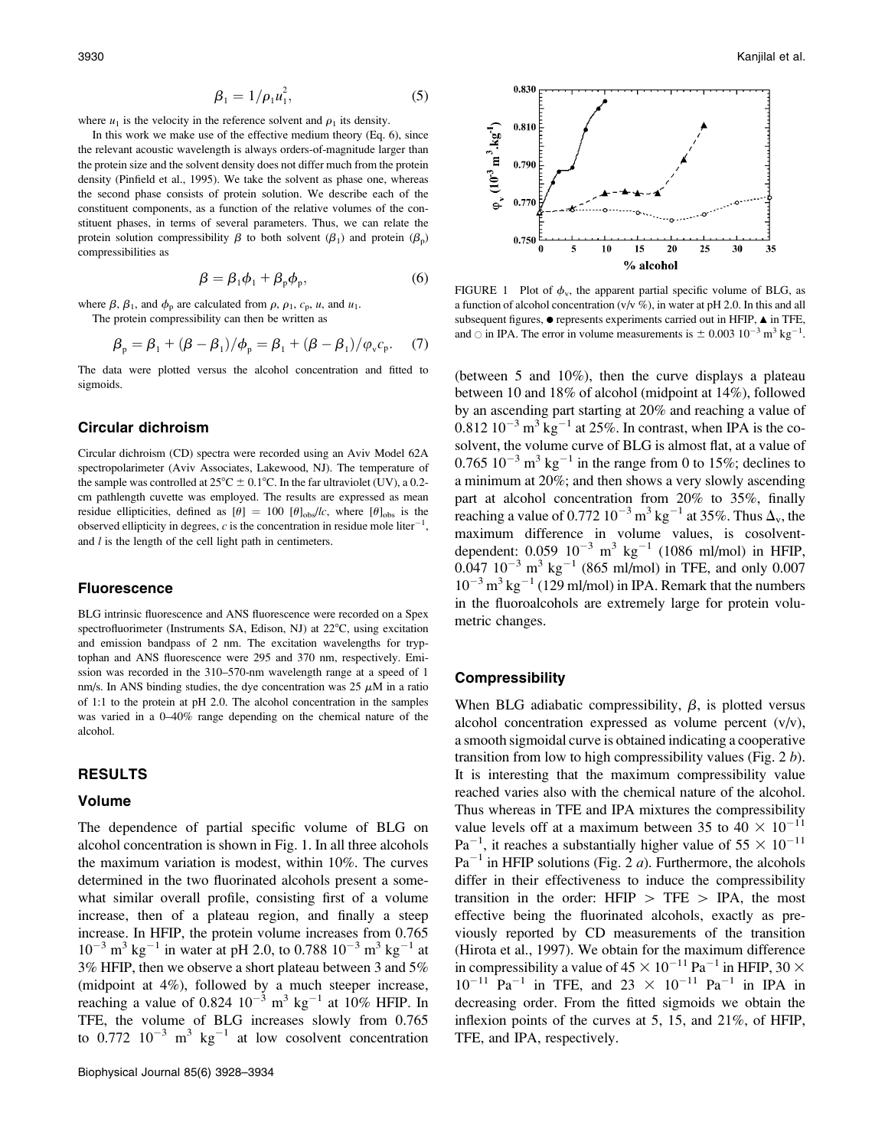$$
\beta_1 = 1/\rho_1 u_1^2, \tag{5}
$$

where  $u_1$  is the velocity in the reference solvent and  $\rho_1$  its density.

In this work we make use of the effective medium theory (Eq. 6), since the relevant acoustic wavelength is always orders-of-magnitude larger than the protein size and the solvent density does not differ much from the protein density (Pinfield et al., 1995). We take the solvent as phase one, whereas the second phase consists of protein solution. We describe each of the constituent components, as a function of the relative volumes of the constituent phases, in terms of several parameters. Thus, we can relate the protein solution compressibility  $\beta$  to both solvent ( $\beta_1$ ) and protein ( $\beta_p$ ) compressibilities as

$$
\beta = \beta_1 \phi_1 + \beta_p \phi_p, \tag{6}
$$

where  $\beta$ ,  $\beta_1$ , and  $\phi_p$  are calculated from  $\rho$ ,  $\rho_1$ ,  $c_p$ ,  $u$ , and  $u_1$ .

The protein compressibility can then be written as

$$
\beta_{p} = \beta_{1} + (\beta - \beta_{1})/\phi_{p} = \beta_{1} + (\beta - \beta_{1})/\phi_{v}c_{p}. \quad (7)
$$

The data were plotted versus the alcohol concentration and fitted to sigmoids.

### Circular dichroism

Circular dichroism (CD) spectra were recorded using an Aviv Model 62A spectropolarimeter (Aviv Associates, Lakewood, NJ). The temperature of the sample was controlled at  $25^{\circ}C \pm 0.1^{\circ}C$ . In the far ultraviolet (UV), a 0.2cm pathlength cuvette was employed. The results are expressed as mean residue ellipticities, defined as  $[\theta] = 100$   $[\theta]_{\text{obs}}/c$ , where  $[\theta]_{\text{obs}}$  is the observed ellipticity in degrees, c is the concentration in residue mole liter<sup>-1</sup>, and  $l$  is the length of the cell light path in centimeters.

#### Fluorescence

BLG intrinsic fluorescence and ANS fluorescence were recorded on a Spex spectrofluorimeter (Instruments SA, Edison, NJ) at  $22^{\circ}$ C, using excitation and emission bandpass of 2 nm. The excitation wavelengths for tryptophan and ANS fluorescence were 295 and 370 nm, respectively. Emission was recorded in the 310–570-nm wavelength range at a speed of 1 nm/s. In ANS binding studies, the dye concentration was  $25 \mu M$  in a ratio of 1:1 to the protein at pH 2.0. The alcohol concentration in the samples was varied in a 0–40% range depending on the chemical nature of the alcohol.

# RESULTS

## Volume

The dependence of partial specific volume of BLG on alcohol concentration is shown in Fig. 1. In all three alcohols the maximum variation is modest, within 10%. The curves determined in the two fluorinated alcohols present a somewhat similar overall profile, consisting first of a volume increase, then of a plateau region, and finally a steep increase. In HFIP, the protein volume increases from 0.765  $10^{-3}$  m<sup>3</sup> kg<sup>-1</sup> in water at pH 2.0, to 0.788  $10^{-3}$  m<sup>3</sup> kg<sup>-1</sup> at 3% HFIP, then we observe a short plateau between 3 and 5% (midpoint at 4%), followed by a much steeper increase, reaching a value of 0.824  $10^{-3}$  m<sup>3</sup> kg<sup>-1</sup> at  $10\%$  HFIP. In TFE, the volume of BLG increases slowly from 0.765 to  $0.772 \, 10^{-3} \, \text{m}^3 \, \text{kg}^{-1}$  at low cosolvent concentration



FIGURE 1 Plot of  $\phi_v$ , the apparent partial specific volume of BLG, as a function of alcohol concentration  $(v/v \%)$ , in water at pH 2.0. In this and all subsequent figures,  $\bullet$  represents experiments carried out in HFIP,  $\blacktriangle$  in TFE, and  $\circ$  in IPA. The error in volume measurements is  $\pm 0.003$   $10^{-3}$  m<sup>3</sup> kg<sup>-1</sup>.

(between 5 and 10%), then the curve displays a plateau between 10 and 18% of alcohol (midpoint at 14%), followed by an ascending part starting at 20% and reaching a value of  $0.812\ 10^{-3}$  m<sup>3</sup> kg<sup>-1</sup> at 25%. In contrast, when IPA is the cosolvent, the volume curve of BLG is almost flat, at a value of 0.765  $10^{-3}$  m<sup>3</sup> kg<sup>-1</sup> in the range from 0 to 15%; declines to a minimum at 20%; and then shows a very slowly ascending part at alcohol concentration from 20% to 35%, finally reaching a value of 0.772  $10^{-3}$  m<sup>3</sup> kg<sup>-1</sup> at 35%. Thus  $\Delta_v$ , the maximum difference in volume values, is cosolventdependent:  $0.059 \, 10^{-3} \, \text{m}^3 \, \text{kg}^{-1}$  (1086 ml/mol) in HFIP,  $0.047 \, 10^{-3} \, \text{m}^3 \, \text{kg}^{-1}$  (865 ml/mol) in TFE, and only 0.007  $10^{-3}$  m<sup>3</sup> kg<sup>-1</sup> (129 ml/mol) in IPA. Remark that the numbers in the fluoroalcohols are extremely large for protein volumetric changes.

## **Compressibility**

When BLG adiabatic compressibility,  $\beta$ , is plotted versus alcohol concentration expressed as volume percent  $(v/v)$ , a smooth sigmoidal curve is obtained indicating a cooperative transition from low to high compressibility values (Fig.  $2 b$ ). It is interesting that the maximum compressibility value reached varies also with the chemical nature of the alcohol. Thus whereas in TFE and IPA mixtures the compressibility value levels off at a maximum between 35 to  $40 \times 10^{-11}$  $Pa^{-1}$ , it reaches a substantially higher value of  $55 \times 10^{-11}$  $Pa^{-1}$  in HFIP solutions (Fig. 2 *a*). Furthermore, the alcohols differ in their effectiveness to induce the compressibility transition in the order:  $HFIP > TFE > IPA$ , the most effective being the fluorinated alcohols, exactly as previously reported by CD measurements of the transition (Hirota et al., 1997). We obtain for the maximum difference in compressibility a value of  $45 \times 10^{-11}$  Pa<sup>-1</sup> in HFIP, 30  $\times$  $10^{-11}$  Pa<sup>-1</sup> in TFE, and 23  $\times$   $10^{-11}$  Pa<sup>-1</sup> in IPA in decreasing order. From the fitted sigmoids we obtain the inflexion points of the curves at 5, 15, and 21%, of HFIP, TFE, and IPA, respectively.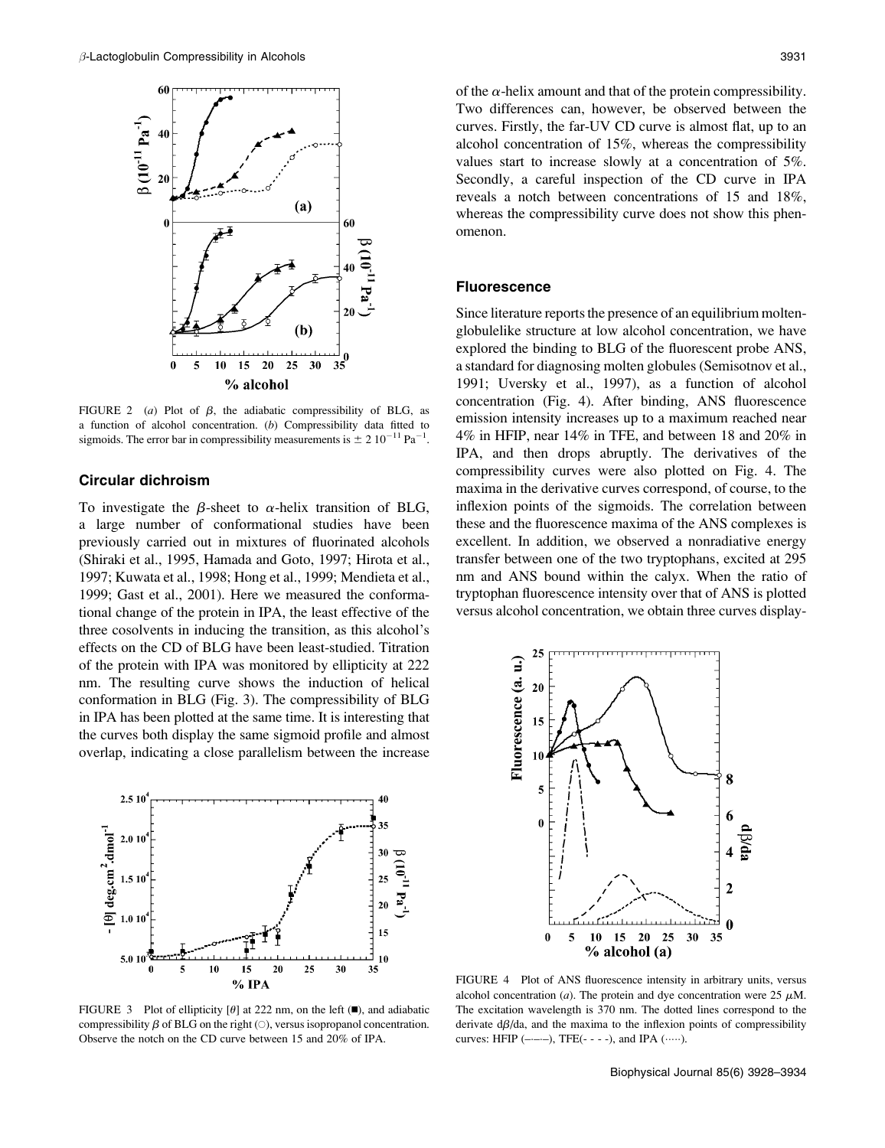

FIGURE 2 (a) Plot of  $\beta$ , the adiabatic compressibility of BLG, as a function of alcohol concentration. (b) Compressibility data fitted to sigmoids. The error bar in compressibility measurements is  $\pm 2 \times 10^{-11}$  Pa<sup>-1</sup>.

### Circular dichroism

To investigate the  $\beta$ -sheet to  $\alpha$ -helix transition of BLG, a large number of conformational studies have been previously carried out in mixtures of fluorinated alcohols (Shiraki et al., 1995, Hamada and Goto, 1997; Hirota et al., 1997; Kuwata et al., 1998; Hong et al., 1999; Mendieta et al., 1999; Gast et al., 2001). Here we measured the conformational change of the protein in IPA, the least effective of the three cosolvents in inducing the transition, as this alcohol's effects on the CD of BLG have been least-studied. Titration of the protein with IPA was monitored by ellipticity at 222 nm. The resulting curve shows the induction of helical conformation in BLG (Fig. 3). The compressibility of BLG in IPA has been plotted at the same time. It is interesting that the curves both display the same sigmoid profile and almost overlap, indicating a close parallelism between the increase



FIGURE 3 Plot of ellipticity [ $\theta$ ] at 222 nm, on the left ( $\blacksquare$ ), and adiabatic compressibility  $\beta$  of BLG on the right ( $\circ$ ), versus isopropanol concentration. Observe the notch on the CD curve between 15 and 20% of IPA.

of the  $\alpha$ -helix amount and that of the protein compressibility. Two differences can, however, be observed between the curves. Firstly, the far-UV CD curve is almost flat, up to an alcohol concentration of 15%, whereas the compressibility values start to increase slowly at a concentration of 5%. Secondly, a careful inspection of the CD curve in IPA reveals a notch between concentrations of 15 and 18%, whereas the compressibility curve does not show this phenomenon.

## Fluorescence

Since literature reports the presence of an equilibrium moltenglobulelike structure at low alcohol concentration, we have explored the binding to BLG of the fluorescent probe ANS, a standard for diagnosing molten globules (Semisotnov et al., 1991; Uversky et al., 1997), as a function of alcohol concentration (Fig. 4). After binding, ANS fluorescence emission intensity increases up to a maximum reached near 4% in HFIP, near 14% in TFE, and between 18 and 20% in IPA, and then drops abruptly. The derivatives of the compressibility curves were also plotted on Fig. 4. The maxima in the derivative curves correspond, of course, to the inflexion points of the sigmoids. The correlation between these and the fluorescence maxima of the ANS complexes is excellent. In addition, we observed a nonradiative energy transfer between one of the two tryptophans, excited at 295 nm and ANS bound within the calyx. When the ratio of tryptophan fluorescence intensity over that of ANS is plotted versus alcohol concentration, we obtain three curves display-



FIGURE 4 Plot of ANS fluorescence intensity in arbitrary units, versus alcohol concentration (*a*). The protein and dye concentration were 25  $\mu$ M. The excitation wavelength is 370 nm. The dotted lines correspond to the derivate  $d\beta/da$ , and the maxima to the inflexion points of compressibility curves: HFIP  $(---)$ , TFE $(---)$ , and IPA  $(.....)$ .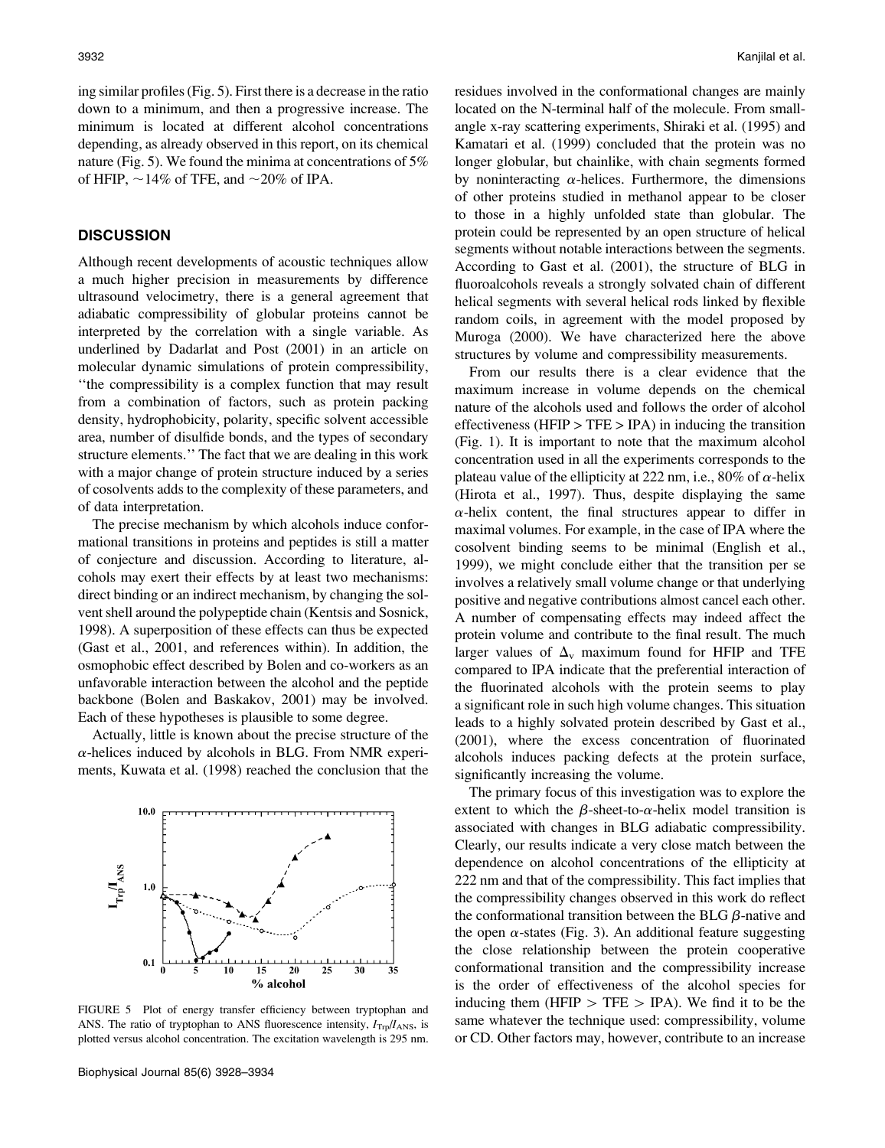ing similar profiles (Fig. 5). First there is a decrease in the ratio down to a minimum, and then a progressive increase. The minimum is located at different alcohol concentrations depending, as already observed in this report, on its chemical nature (Fig. 5). We found the minima at concentrations of 5% of HFIP,  $\sim$ 14% of TFE, and  $\sim$ 20% of IPA.

# **DISCUSSION**

Although recent developments of acoustic techniques allow a much higher precision in measurements by difference ultrasound velocimetry, there is a general agreement that adiabatic compressibility of globular proteins cannot be interpreted by the correlation with a single variable. As underlined by Dadarlat and Post (2001) in an article on molecular dynamic simulations of protein compressibility, ''the compressibility is a complex function that may result from a combination of factors, such as protein packing density, hydrophobicity, polarity, specific solvent accessible area, number of disulfide bonds, and the types of secondary structure elements.'' The fact that we are dealing in this work with a major change of protein structure induced by a series of cosolvents adds to the complexity of these parameters, and of data interpretation.

The precise mechanism by which alcohols induce conformational transitions in proteins and peptides is still a matter of conjecture and discussion. According to literature, alcohols may exert their effects by at least two mechanisms: direct binding or an indirect mechanism, by changing the solvent shell around the polypeptide chain (Kentsis and Sosnick, 1998). A superposition of these effects can thus be expected (Gast et al., 2001, and references within). In addition, the osmophobic effect described by Bolen and co-workers as an unfavorable interaction between the alcohol and the peptide backbone (Bolen and Baskakov, 2001) may be involved. Each of these hypotheses is plausible to some degree.

Actually, little is known about the precise structure of the  $\alpha$ -helices induced by alcohols in BLG. From NMR experiments, Kuwata et al. (1998) reached the conclusion that the



FIGURE 5 Plot of energy transfer efficiency between tryptophan and ANS. The ratio of tryptophan to ANS fluorescence intensity,  $I_{\text{Trp}}/I_{\text{ANS}}$ , is plotted versus alcohol concentration. The excitation wavelength is 295 nm.

residues involved in the conformational changes are mainly located on the N-terminal half of the molecule. From smallangle x-ray scattering experiments, Shiraki et al. (1995) and Kamatari et al. (1999) concluded that the protein was no longer globular, but chainlike, with chain segments formed by noninteracting  $\alpha$ -helices. Furthermore, the dimensions of other proteins studied in methanol appear to be closer to those in a highly unfolded state than globular. The protein could be represented by an open structure of helical segments without notable interactions between the segments. According to Gast et al. (2001), the structure of BLG in fluoroalcohols reveals a strongly solvated chain of different helical segments with several helical rods linked by flexible random coils, in agreement with the model proposed by Muroga (2000). We have characterized here the above structures by volume and compressibility measurements.

From our results there is a clear evidence that the maximum increase in volume depends on the chemical nature of the alcohols used and follows the order of alcohol effectiveness (HFIP  $>$  TFE  $>$  IPA) in inducing the transition (Fig. 1). It is important to note that the maximum alcohol concentration used in all the experiments corresponds to the plateau value of the ellipticity at 222 nm, i.e., 80% of  $\alpha$ -helix (Hirota et al., 1997). Thus, despite displaying the same  $\alpha$ -helix content, the final structures appear to differ in maximal volumes. For example, in the case of IPA where the cosolvent binding seems to be minimal (English et al., 1999), we might conclude either that the transition per se involves a relatively small volume change or that underlying positive and negative contributions almost cancel each other. A number of compensating effects may indeed affect the protein volume and contribute to the final result. The much larger values of  $\Delta_{\rm v}$  maximum found for HFIP and TFE compared to IPA indicate that the preferential interaction of the fluorinated alcohols with the protein seems to play a significant role in such high volume changes. This situation leads to a highly solvated protein described by Gast et al., (2001), where the excess concentration of fluorinated alcohols induces packing defects at the protein surface, significantly increasing the volume.

The primary focus of this investigation was to explore the extent to which the  $\beta$ -sheet-to- $\alpha$ -helix model transition is associated with changes in BLG adiabatic compressibility. Clearly, our results indicate a very close match between the dependence on alcohol concentrations of the ellipticity at 222 nm and that of the compressibility. This fact implies that the compressibility changes observed in this work do reflect the conformational transition between the BLG  $\beta$ -native and the open  $\alpha$ -states (Fig. 3). An additional feature suggesting the close relationship between the protein cooperative conformational transition and the compressibility increase is the order of effectiveness of the alcohol species for inducing them (HFIP  $>$  TFE  $>$  IPA). We find it to be the same whatever the technique used: compressibility, volume or CD. Other factors may, however, contribute to an increase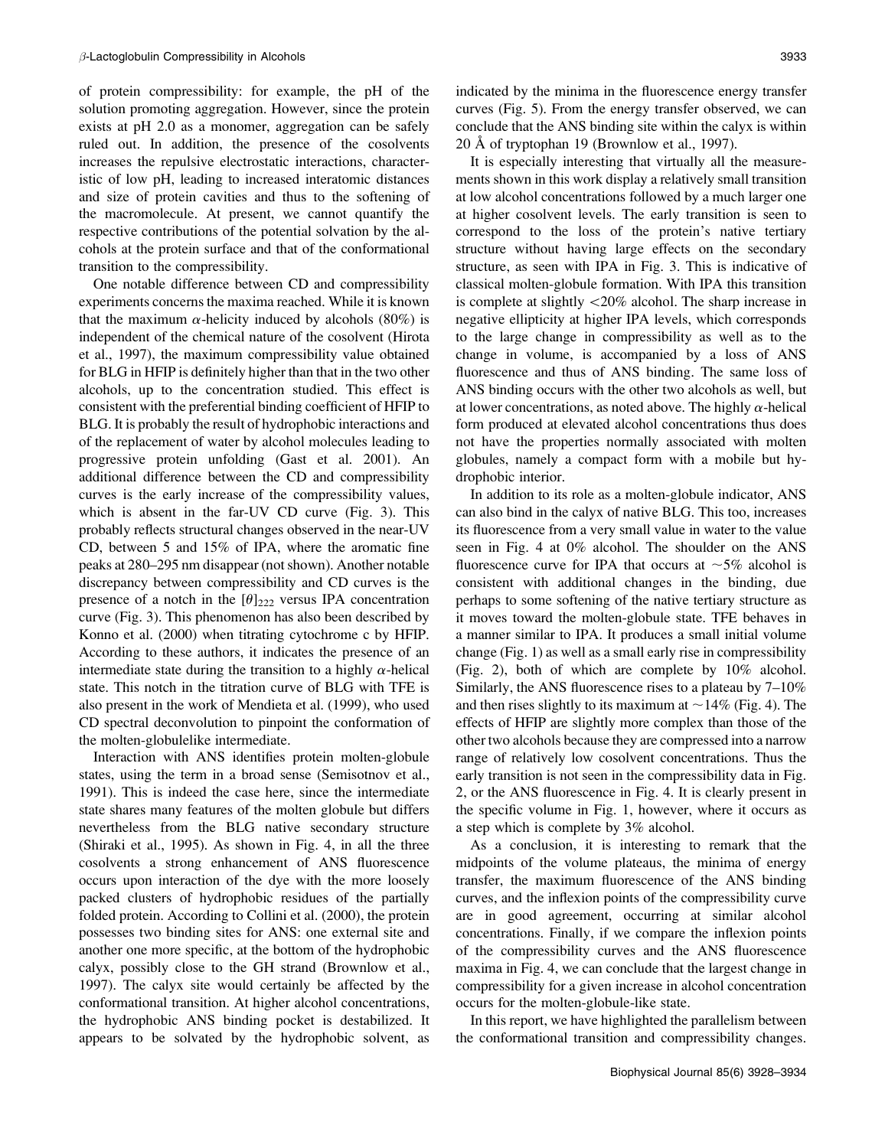of protein compressibility: for example, the pH of the solution promoting aggregation. However, since the protein exists at pH 2.0 as a monomer, aggregation can be safely ruled out. In addition, the presence of the cosolvents increases the repulsive electrostatic interactions, characteristic of low pH, leading to increased interatomic distances and size of protein cavities and thus to the softening of the macromolecule. At present, we cannot quantify the respective contributions of the potential solvation by the alcohols at the protein surface and that of the conformational transition to the compressibility.

One notable difference between CD and compressibility experiments concerns the maxima reached. While it is known that the maximum  $\alpha$ -helicity induced by alcohols (80%) is independent of the chemical nature of the cosolvent (Hirota et al., 1997), the maximum compressibility value obtained for BLG in HFIP is definitely higher than that in the two other alcohols, up to the concentration studied. This effect is consistent with the preferential binding coefficient of HFIP to BLG. It is probably the result of hydrophobic interactions and of the replacement of water by alcohol molecules leading to progressive protein unfolding (Gast et al. 2001). An additional difference between the CD and compressibility curves is the early increase of the compressibility values, which is absent in the far-UV CD curve (Fig. 3). This probably reflects structural changes observed in the near-UV CD, between 5 and 15% of IPA, where the aromatic fine peaks at 280–295 nm disappear (not shown). Another notable discrepancy between compressibility and CD curves is the presence of a notch in the  $[\theta]_{222}$  versus IPA concentration curve (Fig. 3). This phenomenon has also been described by Konno et al. (2000) when titrating cytochrome c by HFIP. According to these authors, it indicates the presence of an intermediate state during the transition to a highly  $\alpha$ -helical state. This notch in the titration curve of BLG with TFE is also present in the work of Mendieta et al. (1999), who used CD spectral deconvolution to pinpoint the conformation of the molten-globulelike intermediate.

Interaction with ANS identifies protein molten-globule states, using the term in a broad sense (Semisotnov et al., 1991). This is indeed the case here, since the intermediate state shares many features of the molten globule but differs nevertheless from the BLG native secondary structure (Shiraki et al., 1995). As shown in Fig. 4, in all the three cosolvents a strong enhancement of ANS fluorescence occurs upon interaction of the dye with the more loosely packed clusters of hydrophobic residues of the partially folded protein. According to Collini et al. (2000), the protein possesses two binding sites for ANS: one external site and another one more specific, at the bottom of the hydrophobic calyx, possibly close to the GH strand (Brownlow et al., 1997). The calyx site would certainly be affected by the conformational transition. At higher alcohol concentrations, the hydrophobic ANS binding pocket is destabilized. It appears to be solvated by the hydrophobic solvent, as

indicated by the minima in the fluorescence energy transfer curves (Fig. 5). From the energy transfer observed, we can conclude that the ANS binding site within the calyx is within  $20$  Å of tryptophan 19 (Brownlow et al., 1997).

It is especially interesting that virtually all the measurements shown in this work display a relatively small transition at low alcohol concentrations followed by a much larger one at higher cosolvent levels. The early transition is seen to correspond to the loss of the protein's native tertiary structure without having large effects on the secondary structure, as seen with IPA in Fig. 3. This is indicative of classical molten-globule formation. With IPA this transition is complete at slightly  $\langle 20\%$  alcohol. The sharp increase in negative ellipticity at higher IPA levels, which corresponds to the large change in compressibility as well as to the change in volume, is accompanied by a loss of ANS fluorescence and thus of ANS binding. The same loss of ANS binding occurs with the other two alcohols as well, but at lower concentrations, as noted above. The highly  $\alpha$ -helical form produced at elevated alcohol concentrations thus does not have the properties normally associated with molten globules, namely a compact form with a mobile but hydrophobic interior.

In addition to its role as a molten-globule indicator, ANS can also bind in the calyx of native BLG. This too, increases its fluorescence from a very small value in water to the value seen in Fig. 4 at 0% alcohol. The shoulder on the ANS fluorescence curve for IPA that occurs at  $\sim$ 5% alcohol is consistent with additional changes in the binding, due perhaps to some softening of the native tertiary structure as it moves toward the molten-globule state. TFE behaves in a manner similar to IPA. It produces a small initial volume change (Fig. 1) as well as a small early rise in compressibility (Fig. 2), both of which are complete by 10% alcohol. Similarly, the ANS fluorescence rises to a plateau by 7–10% and then rises slightly to its maximum at  $\sim$  14% (Fig. 4). The effects of HFIP are slightly more complex than those of the other two alcohols because they are compressed into a narrow range of relatively low cosolvent concentrations. Thus the early transition is not seen in the compressibility data in Fig. 2, or the ANS fluorescence in Fig. 4. It is clearly present in the specific volume in Fig. 1, however, where it occurs as a step which is complete by 3% alcohol.

As a conclusion, it is interesting to remark that the midpoints of the volume plateaus, the minima of energy transfer, the maximum fluorescence of the ANS binding curves, and the inflexion points of the compressibility curve are in good agreement, occurring at similar alcohol concentrations. Finally, if we compare the inflexion points of the compressibility curves and the ANS fluorescence maxima in Fig. 4, we can conclude that the largest change in compressibility for a given increase in alcohol concentration occurs for the molten-globule-like state.

In this report, we have highlighted the parallelism between the conformational transition and compressibility changes.